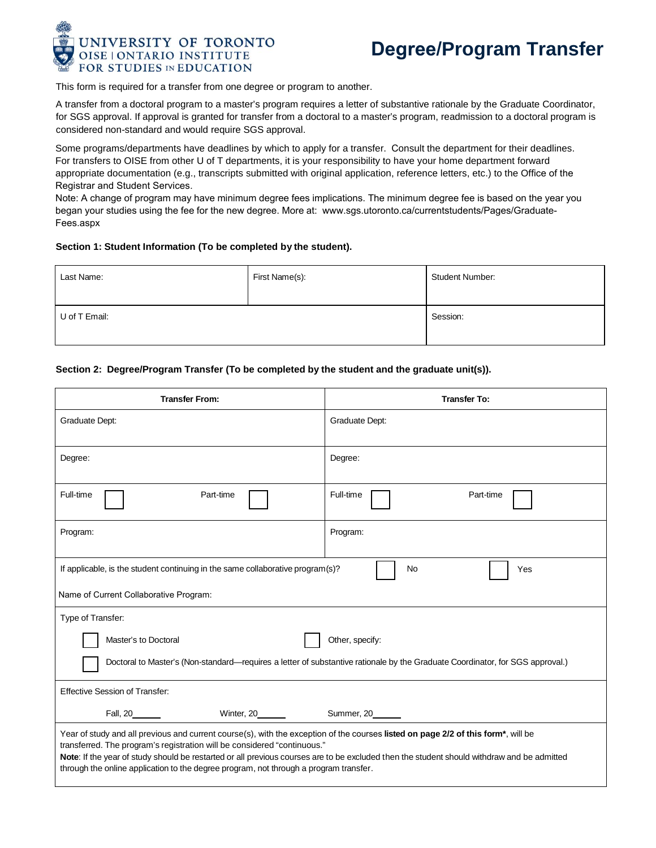

This form is required for a transfer from one degree or program to another.

A transfer from a doctoral program to a master's program requires a letter of substantive rationale by the Graduate Coordinator, for SGS approval. If approval is granted for transfer from a doctoral to a master's program, readmission to a doctoral program is considered non-standard and would require SGS approval.

Some programs/departments have deadlines by which to apply for a transfer. Consult the department for their deadlines. For transfers to OISE from other U of T departments, it is your responsibility to have your home department forward appropriate documentation (e.g., transcripts submitted with original application, reference letters, etc.) to the Office of the Registrar and Student Services.

Note: A change of program may have minimum degree fees implications. The minimum degree fee is based on the year you began your studies using the fee for the new degree. More at: www.sgs.utoronto.ca/currentstudents/Pages/Graduate-Fees.aspx

## **Section 1: Student Information (To be completed by the student).**

| Last Name:    | First Name(s): | <b>Student Number:</b> |  |
|---------------|----------------|------------------------|--|
| U of T Email: |                | Session:               |  |

## **Section 2: Degree/Program Transfer (To be completed by the student and the graduate unit(s)).**

| <b>Transfer From:</b>                                                                                                                                                                                                                                                                                                                                                                                                                                | <b>Transfer To:</b>    |  |  |  |  |
|------------------------------------------------------------------------------------------------------------------------------------------------------------------------------------------------------------------------------------------------------------------------------------------------------------------------------------------------------------------------------------------------------------------------------------------------------|------------------------|--|--|--|--|
| Graduate Dept:                                                                                                                                                                                                                                                                                                                                                                                                                                       | Graduate Dept:         |  |  |  |  |
| Degree:                                                                                                                                                                                                                                                                                                                                                                                                                                              | Degree:                |  |  |  |  |
| Full-time<br>Part-time                                                                                                                                                                                                                                                                                                                                                                                                                               | Full-time<br>Part-time |  |  |  |  |
| Program:                                                                                                                                                                                                                                                                                                                                                                                                                                             | Program:               |  |  |  |  |
| No<br>If applicable, is the student continuing in the same collaborative program(s)?<br>Yes                                                                                                                                                                                                                                                                                                                                                          |                        |  |  |  |  |
| Name of Current Collaborative Program:                                                                                                                                                                                                                                                                                                                                                                                                               |                        |  |  |  |  |
| Type of Transfer:                                                                                                                                                                                                                                                                                                                                                                                                                                    |                        |  |  |  |  |
| Master's to Doctoral                                                                                                                                                                                                                                                                                                                                                                                                                                 | Other, specify:        |  |  |  |  |
| Doctoral to Master's (Non-standard—requires a letter of substantive rationale by the Graduate Coordinator, for SGS approval.)                                                                                                                                                                                                                                                                                                                        |                        |  |  |  |  |
| <b>Effective Session of Transfer:</b>                                                                                                                                                                                                                                                                                                                                                                                                                |                        |  |  |  |  |
| Winter, 20_______                                                                                                                                                                                                                                                                                                                                                                                                                                    | Summer, 20______       |  |  |  |  |
| Year of study and all previous and current course(s), with the exception of the courses listed on page 2/2 of this form*, will be<br>transferred. The program's registration will be considered "continuous."<br>Note: If the year of study should be restarted or all previous courses are to be excluded then the student should withdraw and be admitted<br>through the online application to the degree program, not through a program transfer. |                        |  |  |  |  |